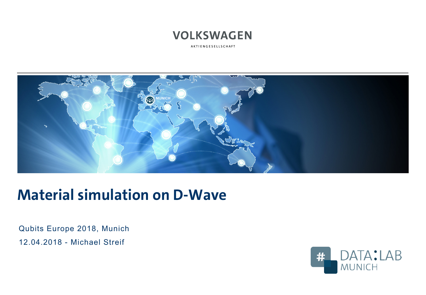# **VOLKSWAGEN**

AKTIENGESELLSCHAFT



# **Material simulation on D-Wave**

Qubits Europe 2018, Munich 12.04.2018 - Michael Streif

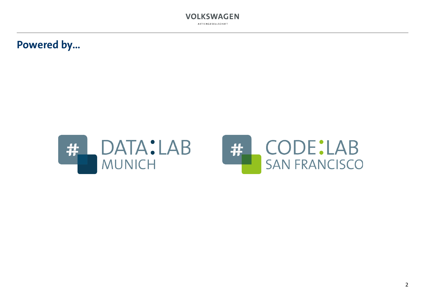

### **Powered by…**



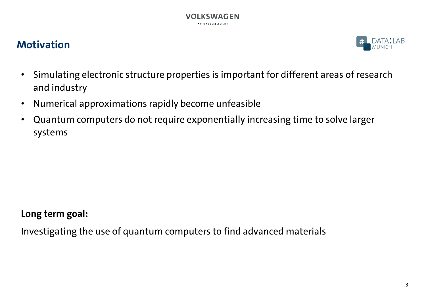#### **VOLKSWAGEN** AKTIENGESELLSCHAF

### **Motivation**



- Simulating electronic structure properties is important for different areas of research and industry
- Numerical approximations rapidly become unfeasible
- Quantum computers do not require exponentially increasing time to solve larger systems

**Long term goal:** 

Investigating the use of quantum computers to find advanced materials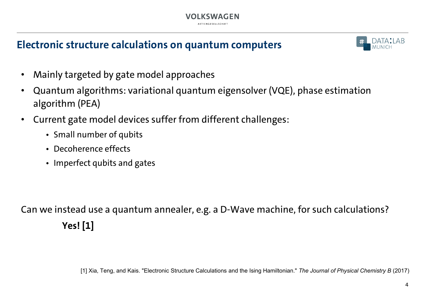

# **Electronic structure calculations on quantum computers**



- Mainly targeted by gate model approaches
- Quantum algorithms: variational quantum eigensolver (VQE), phase estimation algorithm (PEA)
- Current gate model devices suffer from different challenges:
	- Small number of qubits
	- Decoherence effects
	- Imperfect qubits and gates

Can we instead use a quantum annealer, e.g. a D-Wave machine, for such calculations? **Yes! [1]**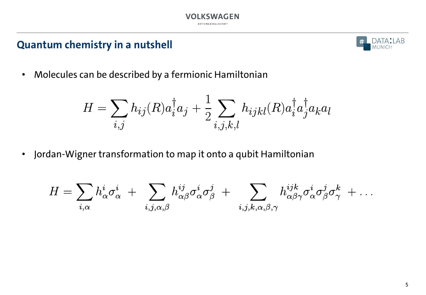

### **Quantum chemistry in a nutshell**



• Molecules can be described by a fermionic Hamiltonian

$$
H = \sum_{i,j} h_{ij}(R) a_i^{\dagger} a_j + \frac{1}{2} \sum_{i,j,k,l} h_{ijkl}(R) a_i^{\dagger} a_j^{\dagger} a_k a_l
$$

• Jordan-Wigner transformation to map it onto a qubit Hamiltonian

$$
H=\sum_{i,\alpha}h^i_{\alpha}\sigma^i_{\alpha}\ +\ \sum_{i,j,\alpha,\beta}h^{ij}_{\alpha\beta}\sigma^i_{\alpha}\sigma^j_{\beta}\ +\ \sum_{i,j,k,\alpha,\beta,\gamma}h^{ijk}_{\alpha\beta\gamma}\sigma^i_{\alpha}\sigma^j_{\beta}\sigma^k_{\gamma}\ +\ldots
$$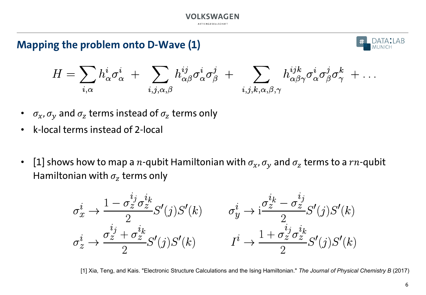

## **Mapping the problem onto D-Wave (1)**



$$
H=\sum_{i,\alpha}h^i_{\alpha}\sigma^i_{\alpha}\ +\ \sum_{i,j,\alpha,\beta}h^{ij}_{\alpha\beta}\sigma^i_{\alpha}\sigma^j_{\beta}\ +\ \sum_{i,j,k,\alpha,\beta,\gamma}h^{ijk}_{\alpha\beta\gamma}\sigma^i_{\alpha}\sigma^j_{\beta}\sigma^k_{\gamma}\ +\ldots
$$

- $\sigma_x$ ,  $\sigma_y$  and  $\sigma_z$  terms instead of  $\sigma_z$  terms only
- k-local terms instead of 2-local
- [1] shows how to map a *n*-qubit Hamiltonian with  $\sigma_x$ ,  $\sigma_y$  and  $\sigma_z$  terms to a  $rn$ -qubit Hamiltonian with  $\sigma_z$  terms only



[1] Xia, Teng, and Kais. "Electronic Structure Calculations and the Ising Hamiltonian." *The Journal of Physical Chemistry B* (2017)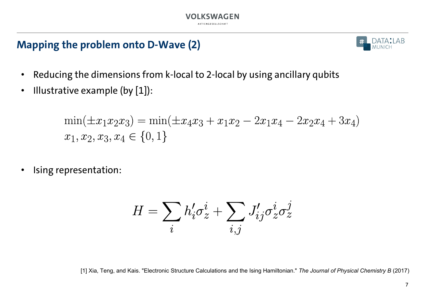# **Mapping the problem onto D-Wave (2)**



- Reducing the dimensions from k-local to 2-local by using ancillary qubits
- Illustrative example (by [1]):

$$
\min(\pm x_1 x_2 x_3) = \min(\pm x_4 x_3 + x_1 x_2 - 2x_1 x_4 - 2x_2 x_4 + 3x_4)
$$
  

$$
x_1, x_2, x_3, x_4 \in \{0, 1\}
$$

Ising representation:

$$
H=\sum_i h'_i \sigma_z^i + \sum_{i,j} J'_{ij} \sigma_z^i \sigma_z^j
$$

[1] Xia, Teng, and Kais. "Electronic Structure Calculations and the Ising Hamiltonian." *The Journal of Physical Chemistry B* (2017)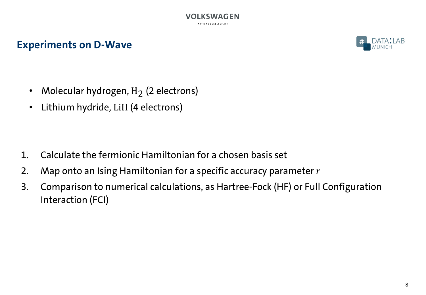### **Experiments on D-Wave**



- Molecular hydrogen,  $H_2$  (2 electrons)
- Lithium hydride, LiH (4 electrons)

- 1. Calculate the fermionic Hamiltonian for a chosen basis set
- 2. Map onto an Ising Hamiltonian for a specific accuracy parameter  $r$
- 3. Comparison to numerical calculations, as Hartree-Fock (HF) or Full Configuration Interaction (FCI)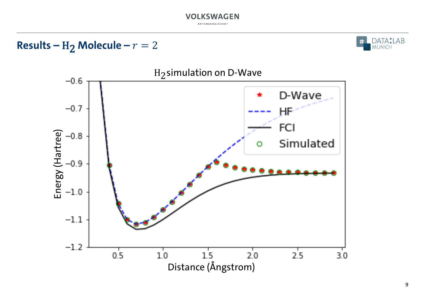#### **VOLKSWAGEN** AKTIENGESELLSCHAFT

**Results –** H<sub>2</sub> **Molecule –**  $r = 2$ 



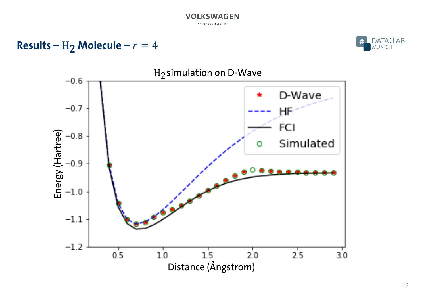#### **VOLKSWAGEN** AKTIENGESELLSCHAFT

**Results –** H<sub>2</sub> **Molecule –**  $r = 4$ 



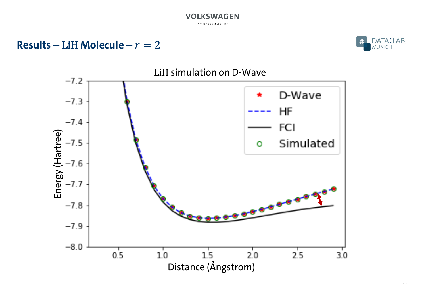#### **VOLKSWAGEN** AKTIENGESELLSCHAFT

**Results – LiH Molecule –**  $r = 2$ 



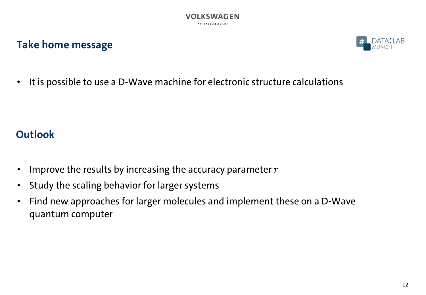

#### **Take home message**



• It is possible to use a D-Wave machine for electronic structure calculations

# **Outlook**

- Improve the results by increasing the accuracy parameter  $r$
- Study the scaling behavior for larger systems
- Find new approaches for larger molecules and implement these on a D-Wave quantum computer